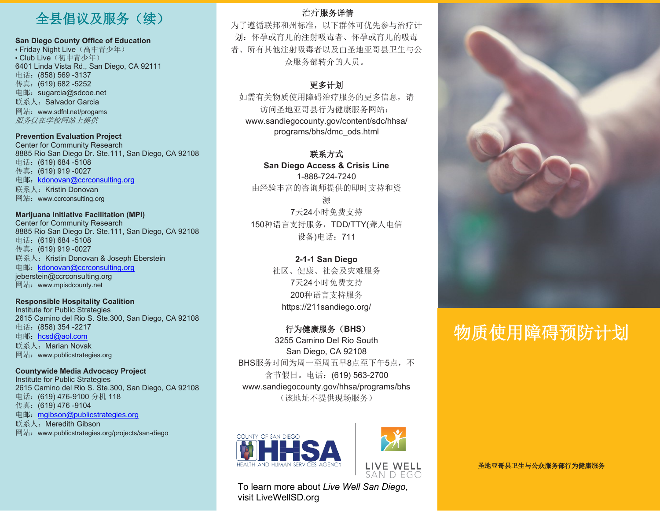## 全县倡议及服务(续)

#### **San Diego County Office of Education**

• Friday Night Live (高中青少年) • Club Live (初中青少年) 6401 Linda Vista Rd., San Diego, CA 92111 电话:(858) 569 -3137 传真:(619) 682 -5252 [电邮:](mailto:sugarcia@sdcoe.net)[sugarcia@sdcoe.net](mailto:sugarcia@sdcoe.net) 联系人: Salvador Garcia 网站:[www.sdfnl.net/progams](http://www.sdfnl.net/progams) 服务仅在学校网站上提供

#### **Prevention Evaluation Project**

Center for Community Research 8885 Rio San Diego Dr. Ste.111, San Diego, CA 92108 电话:(619) 684 -5108 传真:(619) 919 -0027 电邮: [kdonovan@ccrconsulting.org](mailto:kdonovan@ccrconsulting.org) 联系人: Kristin Donovan 网站:[www.ccrconsulting.org](http://www.ccrconsulting.org/)

#### **Marijuana Initiative Facilitation (MPI)** Center for Community Research 8885 Rio San Diego Dr. Ste.111, San Diego, CA 92108 电话:(619) 684 -5108

传真:(619) 919 -0027 联系人: Kristin Donovan & Joseph Eberstein 电邮: [kdonovan@ccrconsulting.org](mailto:kdonovan@ccrconsulting.org) [jeberstein@ccrconsulting.org](mailto:jeberstein@ccrconsulting.org) 网站:[www.mpisdcounty.net](http://www.mpisdcounty.net/)

#### **Responsible Hospitality Coalition**

Institute for Public Strategies 2615 Camino del Rio S. Ste.300, San Diego, CA 92108 电话:(858) 354 -2217 电邮: [hcsd@aol.com](mailto:hcsd@aol.com) 联系人: Marian Novak 网站: [www.publicstrategies.org](http://www.publicstrategies.org/)

#### **Countywide Media Advocacy Project** Institute for Public Strategies 2615 Camino del Rio S. Ste.300, San Diego, CA 92108 电话:(619) 476-9100 分机 118 传真:(619) 476 -9104 电邮:[mgibson@publicstrategies.org](mailto:mgibson@publicstrategies.org) 联系人: Meredith Gibson 网站: [www.publicstrategies.org/projects/san-diego](http://www.publicstrategies.org/projects/san-diego)

### 治疗服务详情

为了遵循联邦和州标准,以下群体可优先参与治疗计 划:怀孕或育儿的注射吸毒者、怀孕或育儿的吸毒 者、所有其他注射吸毒者以及由圣地亚哥县卫生与公 众服务部转介的人员。

### 更多计划

如需有关物质使用障碍治疗服务的更多信息,请 访问圣地亚哥县行为健康服务网站: [www.sandiegocounty.gov/content/sdc/hhsa/](http://www.sandiegocounty.gov/content/sdc/hhsa/) programs/bhs/dmc\_ods.html

### 联系方式

**San Diego Access & Crisis Line** 1-888-724-7240 由经验丰富的咨询师提供的即时支持和资

源 7天24小时免费支持 150种语言支持服务,TDD/TTY(聋人电信 设备)电话:711

### **2-1-1 San Diego** 社区、健康、社会及灾难服务 7天24小时免费支持

200种语言支持服务 https://211sandiego.org/

#### 行为健康服务(**BHS**)

3255 Camino Del Rio South San Diego, CA 92108 BHS服务时间为周一至周五早8点至下午5点,不 含节假日。电话:(619) 563-2700 [www.sandiegocounty.gov/hhsa/programs/bhs](http://www.sandiegocounty.gov/hhsa/programs/bhs) (该地址不提供现场服务)





To learn more about *Live Well San Diego*, visit LiveWellSD.org



# 物质使用障碍预防计划

圣地亚哥县卫生与公众服务部行为健康服务